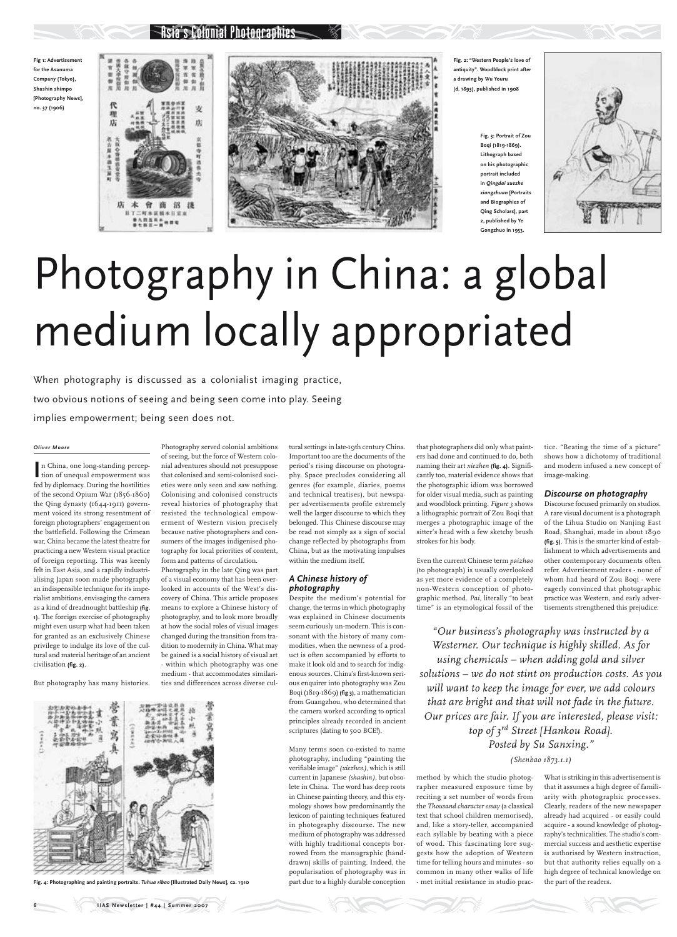# Photography in China: a global medium locally appropriated

When photography is discussed as a colonialist imaging practice, two obvious notions of seeing and being seen come into play. Seeing implies empowerment; being seen does not.

> tice. "Beating the time of a picture" shows how a dichotomy of traditional and modern infused a new concept of image-making.

#### *Discourse on photography*

Discourse focused primarily on studios. A rare visual document is a photograph of the Lihua Studio on Nanjing East Road, Shanghai, made in about 1890 **(fig. 5)**. This is the smarter kind of establishment to which advertisements and other contemporary documents often refer. Advertisement readers - none of whom had heard of Zou Boqi - were eagerly convinced that photographic practice was Western, and early advertisements strengthened this prejudice:

What is striking in this advertisement is that it assumes a high degree of familiarity with photographic processes. Clearly, readers of the new newspaper already had acquired - or easily could acquire - a sound knowledge of photography's technicalities. The studio's commercial success and aesthetic expertise is authorised by Western instruction, but that authority relies equally on a high degree of technical knowledge on the part of the readers.

**IIAS Newsletter | #44 | Summer 2007** 

In China, one long-standing perception of unequal empowerment was n China, one long-standing percepfed by diplomacy. During the hostilities of the second Opium War (1856-1860) the Qing dynasty (1644-1911) government voiced its strong resentment of foreign photographers' engagement on the battlefield. Following the Crimean war, China became the latest theatre for practicing a new Western visual practice of foreign reporting. This was keenly felt in East Asia, and a rapidly industrialising Japan soon made photography an indispensible technique for its imperialist ambitions, envisaging the camera as a kind of dreadnought battleship **(fig. 1)**. The foreign exercise of photography might even usurp what had been taken for granted as an exclusively Chinese privilege to indulge its love of the cultural and material heritage of an ancient civilisation **(fig. 2)**.

**Fig. 3: Portrait of Zou Boqi (1819-1869). Lithograph based on his photographic portrait included in** *Qingdai xuezhe xiangzhuan* **[Portraits and Biographies of Qing Scholars], part 2, published by Ye Gongzhuo in 1953.**



Colonial Photographies

**Fig 1: Advertisement for the Asanuma Company (Tokyo), Shashin shimpo [Photography News], no. 37 (1906)**





**Fig. 2: "Western People's love of antiquity". Woodblock print after a drawing by Wu Youru (d. 1893), published in 1908**

#### *Oliver Moore*

But photography has many histories.

Photography served colonial ambitions of seeing, but the force of Western colonial adventures should not presuppose that colonised and semi-colonised societies were only seen and saw nothing. Colonising and colonised constructs reveal histories of photography that resisted the technological empowerment of Western vision precisely because native photographers and consumers of the images indigenised photography for local priorities of content, form and patterns of circulation.

Photography in the late Qing was part of a visual economy that has been overlooked in accounts of the West's discovery of China. This article proposes means to explore a Chinese history of photography, and to look more broadly at how the social roles of visual images changed during the transition from tradition to modernity in China. What may be gained is a social history of visual art - within which photography was one medium - that accommodates similarities and differences across diverse cultural settings in late-19th century China. Important too are the documents of the period's rising discourse on photography. Space precludes considering all genres (for example, diaries, poems and technical treatises), but newspaper advertisements profile extremely well the larger discourse to which they belonged. This Chinese discourse may be read not simply as a sign of social change reflected by photographs from China, but as the motivating impulses within the medium itself.

### *A Chinese history of photography*

Despite the medium's potential for change, the terms in which photography was explained in Chinese documents seem curiously un-modern. This is consonant with the history of many commodities, when the newness of a product is often accompanied by efforts to make it look old and to search for indigenous sources. China's first-known serious enquirer into photography was Zou Boqi (1819-1869) **(fig 3)**, a mathematician from Guangzhou, who determined that

the camera worked according to optical principles already recorded in ancient scriptures (dating to 500 BCE!).

Many terms soon co-existed to name photography, including "painting the verifiable image" *(xiezhen),* which is still current in Japanese *(shashin)*, but obsolete in China. The word has deep roots in Chinese painting theory, and this etymology shows how predominantly the lexicon of painting techniques featured in photography discourse. The new medium of photography was addressed with highly traditional concepts borrowed from the manugraphic (handdrawn) skills of painting. Indeed, the popularisation of photography was in part due to a highly durable conception

that photographers did only what painters had done and continued to do, both naming their art *xiezhen* **(fig. 4)**. Significantly too, material evidence shows that the photographic idiom was borrowed for older visual media, such as painting and woodblock printing. *Figure 3* shows a lithographic portrait of Zou Boqi that merges a photographic image of the sitter's head with a few sketchy brush strokes for his body.

Even the current Chinese term *paizhao* (to photograph) is usually overlooked as yet more evidence of a completely non-Western conception of photographic method. *Pai*, literally "to beat time" is an etymological fossil of the

method by which the studio photographer measured exposure time by reciting a set number of words from the *Thousand character essay* (a classical text that school children memorised), and, like a story-teller, accompanied each syllable by beating with a piece of wood. This fascinating lore suggests how the adoption of Western time for telling hours and minutes - so common in many other walks of life - met initial resistance in studio prac-

*"Our business's photography was instructed by a Westerner. Our technique is highly skilled. As for using chemicals – when adding gold and silver solutions – we do not stint on production costs. As you will want to keep the image for ever, we add colours that are bright and that will not fade in the future.* 

*Our prices are fair. If you are interested, please visit: top of 3rd Street [Hankou Road]. Posted by Su Sanxing."* 

## *(Shenbao 1873.1.1)*



**Fig. 4: Photographing and painting portraits.** *Tuhua ribao* **[Illustrated Daily News], ca. 1910**